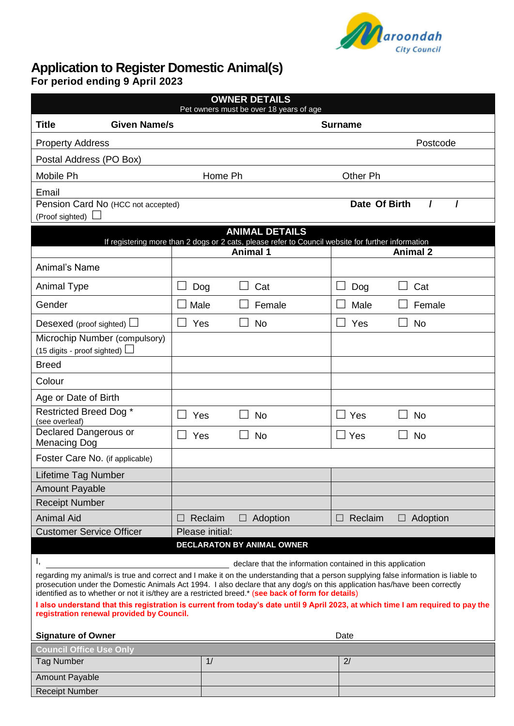

# **Application to Register Domestic Animal(s)**

**For period ending 9 April 2023**

| <b>OWNER DETAILS</b><br>Pet owners must be over 18 years of age                                                                                                                                                                                                                                                                                                         |                          |         |  |                 |  |                 |                 |
|-------------------------------------------------------------------------------------------------------------------------------------------------------------------------------------------------------------------------------------------------------------------------------------------------------------------------------------------------------------------------|--------------------------|---------|--|-----------------|--|-----------------|-----------------|
| <b>Given Name/s</b><br><b>Title</b>                                                                                                                                                                                                                                                                                                                                     | <b>Surname</b>           |         |  |                 |  |                 |                 |
| <b>Property Address</b>                                                                                                                                                                                                                                                                                                                                                 |                          |         |  |                 |  |                 | Postcode        |
| Postal Address (PO Box)                                                                                                                                                                                                                                                                                                                                                 |                          |         |  |                 |  |                 |                 |
| Mobile Ph                                                                                                                                                                                                                                                                                                                                                               |                          | Home Ph |  |                 |  | <b>Other Ph</b> |                 |
| Email                                                                                                                                                                                                                                                                                                                                                                   |                          |         |  |                 |  |                 |                 |
| Pension Card No (HCC not accepted)                                                                                                                                                                                                                                                                                                                                      |                          |         |  |                 |  | Date Of Birth   |                 |
| (Proof sighted)<br><b>ANIMAL DETAILS</b>                                                                                                                                                                                                                                                                                                                                |                          |         |  |                 |  |                 |                 |
| If registering more than 2 dogs or 2 cats, please refer to Council website for further information                                                                                                                                                                                                                                                                      |                          |         |  |                 |  |                 |                 |
|                                                                                                                                                                                                                                                                                                                                                                         |                          |         |  | <b>Animal 1</b> |  |                 | <b>Animal 2</b> |
| Animal's Name                                                                                                                                                                                                                                                                                                                                                           |                          |         |  |                 |  |                 |                 |
| <b>Animal Type</b>                                                                                                                                                                                                                                                                                                                                                      |                          | Dog     |  | Cat             |  | Dog             | Cat             |
| Gender                                                                                                                                                                                                                                                                                                                                                                  | Male                     |         |  | Female          |  | Male            | Female          |
| Desexed (proof sighted) $\Box$                                                                                                                                                                                                                                                                                                                                          |                          | Yes     |  | <b>No</b>       |  | Yes             | <b>No</b>       |
| Microchip Number (compulsory)                                                                                                                                                                                                                                                                                                                                           |                          |         |  |                 |  |                 |                 |
| (15 digits - proof sighted) $\Box$                                                                                                                                                                                                                                                                                                                                      |                          |         |  |                 |  |                 |                 |
| <b>Breed</b>                                                                                                                                                                                                                                                                                                                                                            |                          |         |  |                 |  |                 |                 |
| Colour                                                                                                                                                                                                                                                                                                                                                                  |                          |         |  |                 |  |                 |                 |
| Age or Date of Birth                                                                                                                                                                                                                                                                                                                                                    |                          |         |  |                 |  |                 |                 |
| Restricted Breed Dog *<br>(see overleaf)                                                                                                                                                                                                                                                                                                                                | $\overline{\phantom{a}}$ | Yes     |  | <b>No</b>       |  | $\Box$ Yes      | <b>No</b>       |
| Declared Dangerous or<br><b>Menacing Dog</b>                                                                                                                                                                                                                                                                                                                            | $\blacksquare$           | Yes     |  | <b>No</b>       |  | $\Box$ Yes      | <b>No</b>       |
| Foster Care No. (if applicable)                                                                                                                                                                                                                                                                                                                                         |                          |         |  |                 |  |                 |                 |
| Lifetime Tag Number                                                                                                                                                                                                                                                                                                                                                     |                          |         |  |                 |  |                 |                 |
| <b>Amount Payable</b>                                                                                                                                                                                                                                                                                                                                                   |                          |         |  |                 |  |                 |                 |
| <b>Receipt Number</b>                                                                                                                                                                                                                                                                                                                                                   |                          |         |  |                 |  |                 |                 |
| <b>Animal Aid</b>                                                                                                                                                                                                                                                                                                                                                       | $\Box$                   | Reclaim |  | $\Box$ Adoption |  | $\Box$ Reclaim  | $\Box$ Adoption |
| <b>Customer Service Officer</b>                                                                                                                                                                                                                                                                                                                                         | Please initial:          |         |  |                 |  |                 |                 |
| <b>DECLARATON BY ANIMAL OWNER</b>                                                                                                                                                                                                                                                                                                                                       |                          |         |  |                 |  |                 |                 |
| I,<br>declare that the information contained in this application                                                                                                                                                                                                                                                                                                        |                          |         |  |                 |  |                 |                 |
| regarding my animal/s is true and correct and I make it on the understanding that a person supplying false information is liable to<br>prosecution under the Domestic Animals Act 1994. I also declare that any dog/s on this application has/have been correctly<br>identified as to whether or not it is/they are a restricted breed.* (see back of form for details) |                          |         |  |                 |  |                 |                 |
| I also understand that this registration is current from today's date until 9 April 2023, at which time I am required to pay the<br>registration renewal provided by Council.                                                                                                                                                                                           |                          |         |  |                 |  |                 |                 |
| <b>Signature of Owner</b><br>Date                                                                                                                                                                                                                                                                                                                                       |                          |         |  |                 |  |                 |                 |
| <b>Council Office Use Only</b>                                                                                                                                                                                                                                                                                                                                          |                          |         |  |                 |  |                 |                 |
| <b>Tag Number</b>                                                                                                                                                                                                                                                                                                                                                       |                          | 1/      |  |                 |  | 2/              |                 |
| <b>Amount Payable</b>                                                                                                                                                                                                                                                                                                                                                   |                          |         |  |                 |  |                 |                 |
| <b>Receipt Number</b>                                                                                                                                                                                                                                                                                                                                                   |                          |         |  |                 |  |                 |                 |